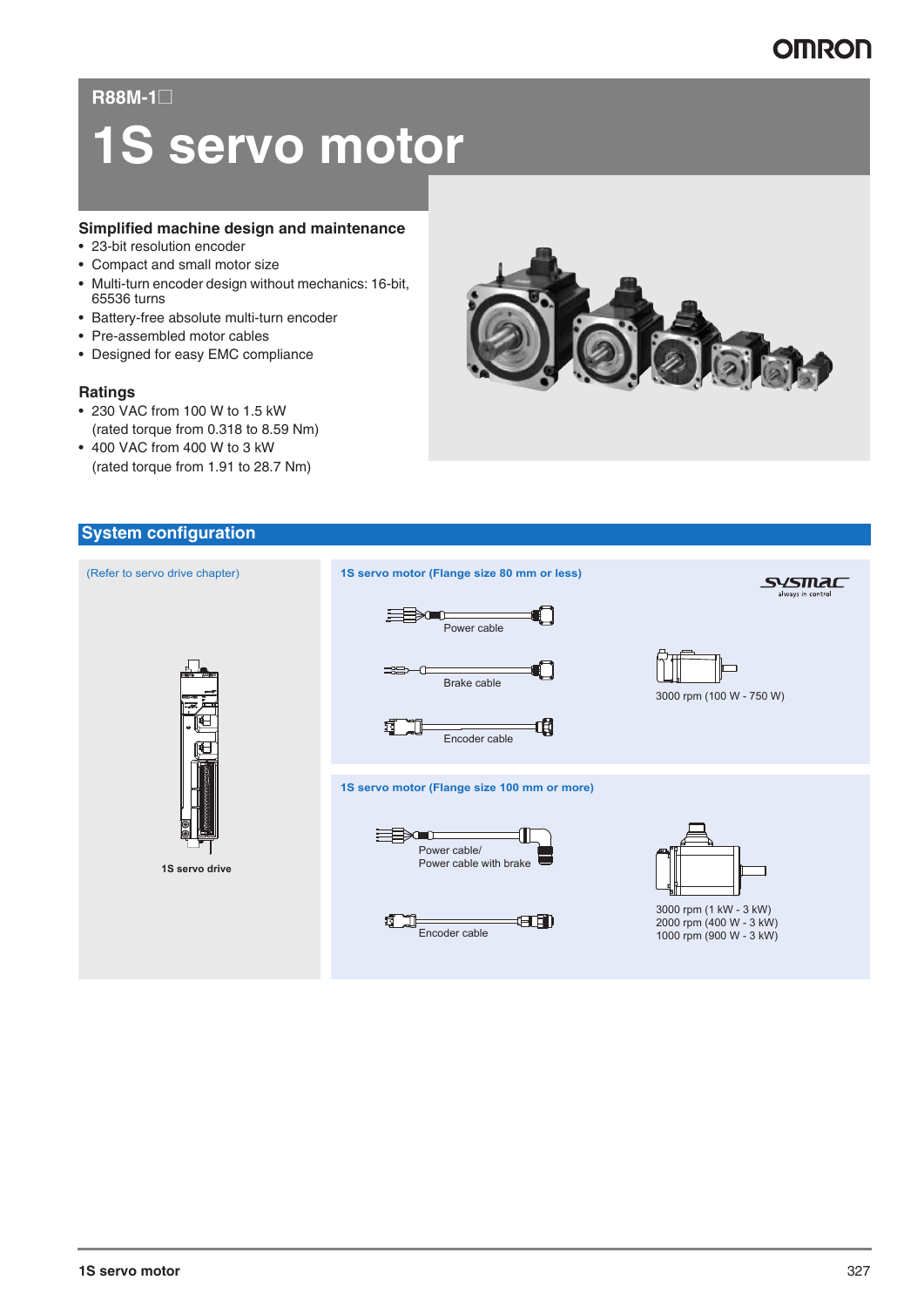### **R88M-1@**

# **1S servo motor**

### **Simplified machine design and maintenance**

- 23-bit resolution encoder
- Compact and small motor size
- Multi-turn encoder design without mechanics: 16-bit, 65536 turns
- Battery-free absolute multi-turn encoder
- Pre-assembled motor cables
- Designed for easy EMC compliance

### **Ratings**

- 230 VAC from 100 W to 1.5 kW (rated torque from 0.318 to 8.59 Nm)
- 400 VAC from 400 W to 3 kW (rated torque from 1.91 to 28.7 Nm)



### **System configuration**

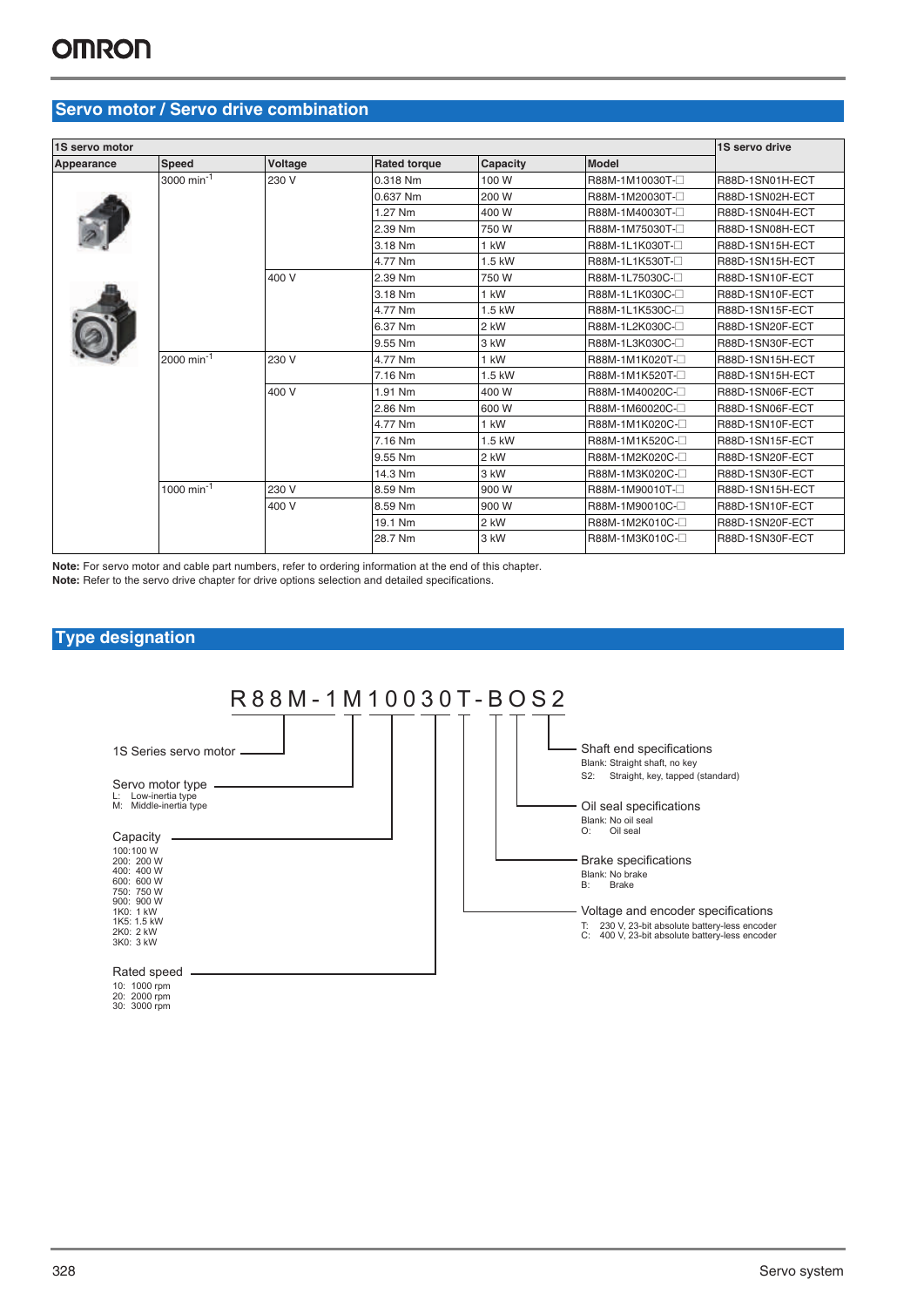### **Servo motor / Servo drive combination**

| 1S servo motor |                        |         |                     |          |                | 1S servo drive  |
|----------------|------------------------|---------|---------------------|----------|----------------|-----------------|
| Appearance     | <b>Speed</b>           | Voltage | <b>Rated torque</b> | Capacity | <b>Model</b>   |                 |
|                | 3000 min <sup>-1</sup> | 230 V   | 0.318 Nm            | 100 W    | R88M-1M10030T- | R88D-1SN01H-ECT |
|                |                        |         | 0.637 Nm            | 200 W    | R88M-1M20030T- | R88D-1SN02H-ECT |
|                |                        |         | 1.27 Nm             | 400 W    | R88M-1M40030T- | R88D-1SN04H-ECT |
|                |                        |         | 2.39 Nm             | 750 W    | R88M-1M75030T- | R88D-1SN08H-ECT |
|                |                        |         | 3.18 Nm             | $1$ kW   | R88M-1L1K030T- | R88D-1SN15H-ECT |
|                |                        |         | 4.77 Nm             | 1.5 kW   | R88M-1L1K530T- | R88D-1SN15H-ECT |
|                |                        | 400 V   | 2.39 Nm             | 750 W    | R88M-1L75030C- | R88D-1SN10F-ECT |
|                |                        |         | 3.18 Nm             | $1$ kW   | R88M-1L1K030C- | R88D-1SN10F-ECT |
|                |                        |         | 4.77 Nm             | 1.5 kW   | R88M-1L1K530C- | R88D-1SN15F-ECT |
|                |                        |         | 6.37 Nm             | 2 kW     | R88M-1L2K030C- | R88D-1SN20F-ECT |
|                |                        |         | 9.55 Nm             | 3 kW     | R88M-1L3K030C- | R88D-1SN30F-ECT |
|                | 2000 min <sup>-1</sup> | 230 V   | 4.77 Nm             | $1$ kW   | R88M-1M1K020T- | R88D-1SN15H-ECT |
|                |                        |         | 7.16 Nm             | 1.5 kW   | R88M-1M1K520T- | R88D-1SN15H-ECT |
|                |                        | 400 V   | 1.91 Nm             | 400 W    | R88M-1M40020C- | R88D-1SN06F-ECT |
|                |                        |         | 2.86 Nm             | 600 W    | R88M-1M60020C- | R88D-1SN06F-ECT |
|                |                        |         | 4.77 Nm             | $1$ kW   | R88M-1M1K020C- | R88D-1SN10F-ECT |
|                |                        |         | 7.16 Nm             | 1.5 kW   | R88M-1M1K520C- | R88D-1SN15F-ECT |
|                |                        |         | 9.55 Nm             | 2 kW     | R88M-1M2K020C- | R88D-1SN20F-ECT |
|                |                        |         | 14.3 Nm             | 3 kW     | R88M-1M3K020C- | R88D-1SN30F-ECT |
|                | 1000 min <sup>-1</sup> | 230 V   | 8.59 Nm             | 900 W    | R88M-1M90010T- | R88D-1SN15H-ECT |
|                |                        | 400 V   | 8.59 Nm             | 900 W    | R88M-1M90010C- | R88D-1SN10F-ECT |
|                |                        |         | 19.1 Nm             | 2 kW     | R88M-1M2K010C- | R88D-1SN20F-ECT |
|                |                        |         | 28.7 Nm             | 3 kW     | R88M-1M3K010C- | R88D-1SN30F-ECT |
|                |                        |         |                     |          |                |                 |

**Note:** For servo motor and cable part numbers, refer to ordering information at the end of this chapter. **Note:** Refer to the servo drive chapter for drive options selection and detailed specifications.

### **Type designation**



10: 1000 rpm 20: 2000 rpm 30: 3000 rpm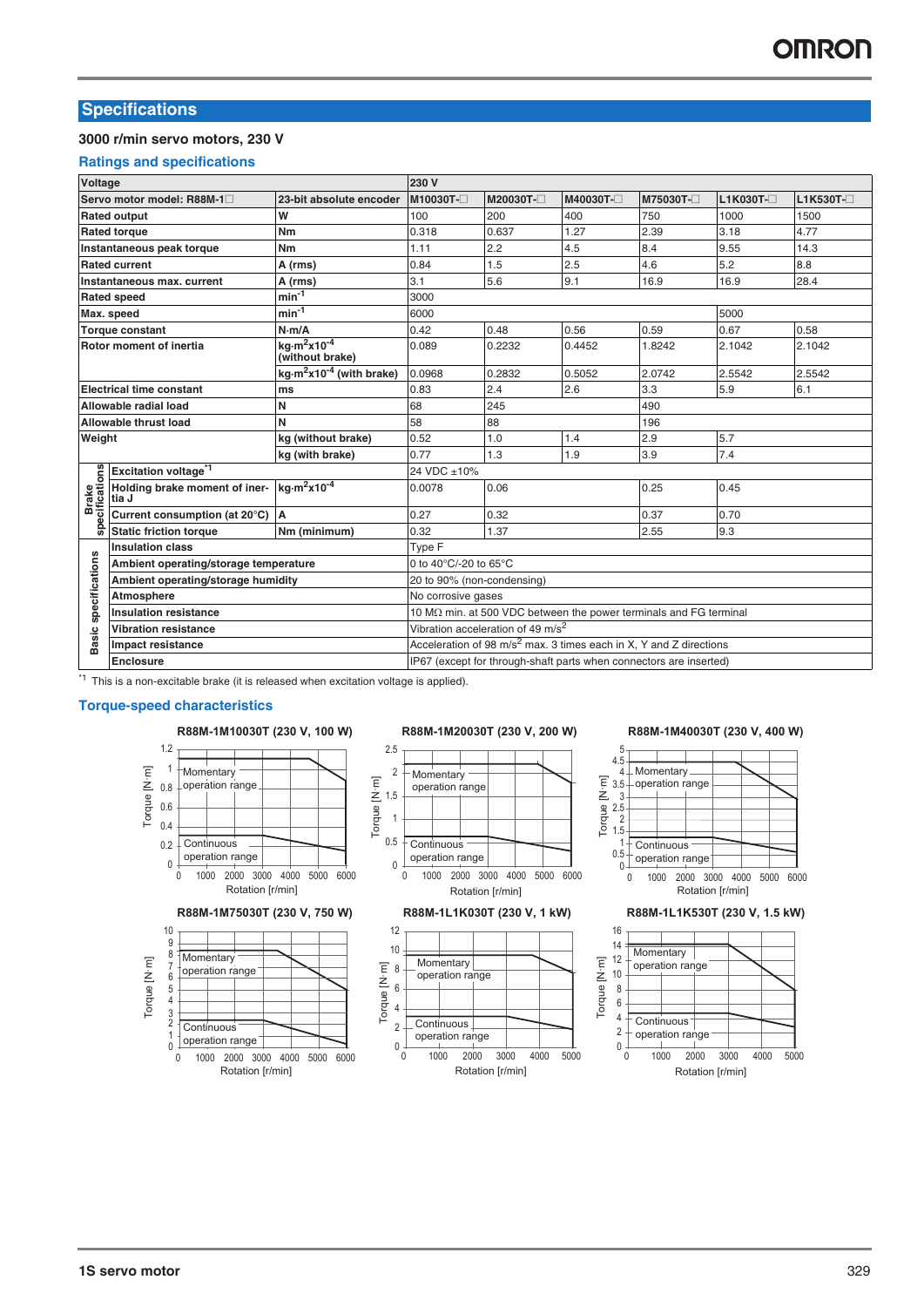### **Specifications**

### **3000 r/min servo motors, 230 V**

### **Ratings and specifications**

| Voltage                 |                                        |                                                  | 230 V                      |                                               |          |                                                                       |             |           |
|-------------------------|----------------------------------------|--------------------------------------------------|----------------------------|-----------------------------------------------|----------|-----------------------------------------------------------------------|-------------|-----------|
|                         | Servo motor model: R88M-1              | 23-bit absolute encoder                          | M10030T-                   | M20030T-                                      | M40030T- | M75030T-                                                              | $L1K030T -$ | L1K530T-□ |
|                         | <b>Rated output</b>                    | W                                                | 100                        | 200                                           | 400      | 750                                                                   | 1000        | 1500      |
|                         | <b>Rated torque</b>                    | Nm                                               | 0.318                      | 0.637                                         | 1.27     | 2.39                                                                  | 3.18        | 4.77      |
|                         | Instantaneous peak torque              | Nm                                               | 1.11                       | 2.2                                           | 4.5      | 8.4                                                                   | 9.55        | 14.3      |
|                         | <b>Rated current</b>                   | A (rms)                                          | 0.84                       | 1.5                                           | 2.5      | 4.6                                                                   | 5.2         | 8.8       |
|                         | Instantaneous max. current             | A (rms)                                          | 3.1                        | 5.6                                           | 9.1      | 16.9                                                                  | 16.9        | 28.4      |
|                         | <b>Rated speed</b>                     | $min^{-1}$                                       | 3000                       |                                               |          |                                                                       |             |           |
|                         | Max. speed                             | $min^{-1}$                                       | 6000                       |                                               |          |                                                                       | 5000        |           |
|                         | <b>Torque constant</b>                 | N·m/A                                            | 0.42                       | 0.48                                          | 0.56     | 0.59                                                                  | 0.67        | 0.58      |
|                         | Rotor moment of inertia                | $kg·m2x10-4$<br>(without brake)                  | 0.089                      | 0.2232                                        | 0.4452   | 1.8242                                                                | 2.1042      | 2.1042    |
|                         |                                        | kg·m <sup>2</sup> x10 <sup>-4</sup> (with brake) | 0.0968                     | 0.2832                                        | 0.5052   | 2.0742                                                                | 2.5542      | 2.5542    |
|                         | <b>Electrical time constant</b>        | ms                                               | 0.83                       | 2.4                                           | 2.6      | 3.3                                                                   | 5.9         | 6.1       |
|                         | Allowable radial load                  | N                                                | 68                         | 245                                           |          | 490                                                                   |             |           |
|                         | Allowable thrust load                  | N                                                | 58                         | 88                                            |          | 196                                                                   |             |           |
| Weight                  |                                        | kg (without brake)                               | 0.52                       | 1.0                                           | 1.4      | 2.9                                                                   | 5.7         |           |
|                         |                                        | kg (with brake)                                  | 0.77                       | 1.3                                           | 1.9      | 3.9                                                                   | 7.4         |           |
|                         | Excitation voltage <sup>*1</sup>       |                                                  | 24 VDC ±10%                |                                               |          |                                                                       |             |           |
| Brake<br>specifications | Holding brake moment of iner-<br>tia J | kg $\cdot$ m <sup>2</sup> x10 <sup>-4</sup>      | 0.0078                     | 0.06                                          |          | 0.25                                                                  | 0.45        |           |
|                         | Current consumption (at 20°C)          | A                                                | 0.27                       | 0.32                                          |          | 0.37                                                                  | 0.70        |           |
|                         | <b>Static friction torque</b>          | Nm (minimum)                                     | 0.32                       | 1.37                                          |          | 2.55                                                                  | 9.3         |           |
|                         | <b>Insulation class</b>                |                                                  | Type F                     |                                               |          |                                                                       |             |           |
| specifications          | Ambient operating/storage temperature  |                                                  | 0 to 40°C/-20 to 65°C      |                                               |          |                                                                       |             |           |
|                         | Ambient operating/storage humidity     |                                                  | 20 to 90% (non-condensing) |                                               |          |                                                                       |             |           |
|                         | Atmosphere                             |                                                  | No corrosive gases         |                                               |          |                                                                       |             |           |
|                         | <b>Insulation resistance</b>           |                                                  |                            |                                               |          | 10 MΩ min. at 500 VDC between the power terminals and FG terminal     |             |           |
|                         | <b>Vibration resistance</b>            |                                                  |                            | Vibration acceleration of 49 m/s <sup>2</sup> |          |                                                                       |             |           |
| <b>Basic</b>            | Impact resistance                      |                                                  |                            |                                               |          | Acceleration of 98 $m/s^2$ max. 3 times each in X, Y and Z directions |             |           |
|                         | <b>Enclosure</b>                       |                                                  |                            |                                               |          | IP67 (except for through-shaft parts when connectors are inserted)    |             |           |

\*1 This is a non-excitable brake (it is released when excitation voltage is applied).

### **Torque-speed characteristics**

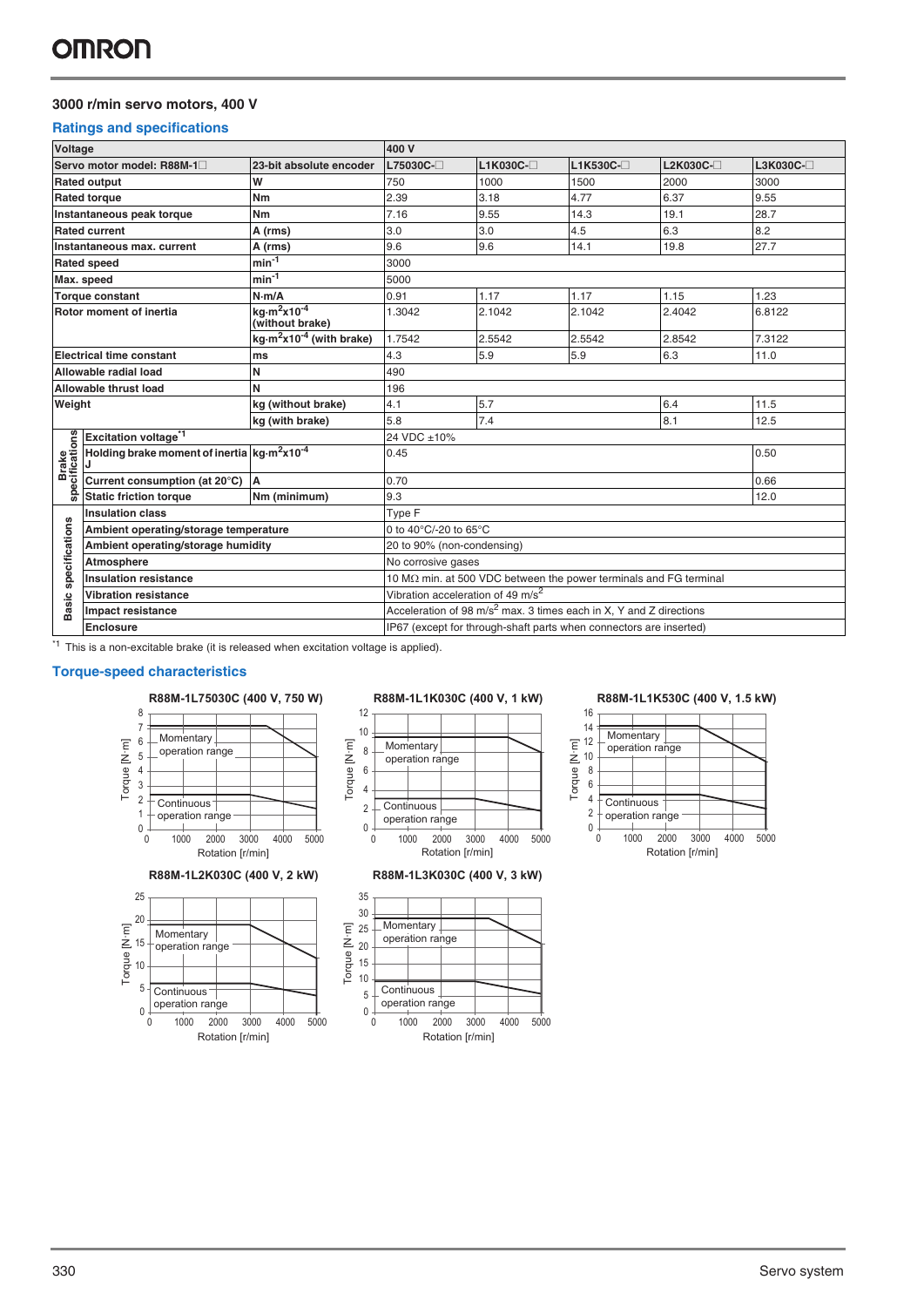### **3000 r/min servo motors, 400 V**

### **Ratings and specifications**

| Voltage              |                                                                           |                                                        | 400 V                                      |                                               |                                                                               |            |          |
|----------------------|---------------------------------------------------------------------------|--------------------------------------------------------|--------------------------------------------|-----------------------------------------------|-------------------------------------------------------------------------------|------------|----------|
|                      | Servo motor model: R88M-1 <sup>-1</sup>                                   | 23-bit absolute encoder                                | L75030C-□                                  | $L1K030C-$                                    | L1K530C-□                                                                     | $L2K030C-$ | L3K030C- |
|                      | <b>Rated output</b>                                                       | W                                                      | 750                                        | 1000                                          | 1500                                                                          | 2000       | 3000     |
|                      | <b>Rated torque</b>                                                       | Nm                                                     | 2.39                                       | 3.18                                          | 4.77                                                                          | 6.37       | 9.55     |
|                      | Instantaneous peak torque                                                 | Nm                                                     | 7.16                                       | 9.55                                          | 14.3                                                                          | 19.1       | 28.7     |
|                      | <b>Rated current</b>                                                      | A (rms)                                                | 3.0                                        | 3.0                                           | 4.5                                                                           | 6.3        | 8.2      |
|                      | Instantaneous max, current                                                | A (rms)                                                | 9.6                                        | 9.6                                           | 14.1                                                                          | 19.8       | 27.7     |
|                      | <b>Rated speed</b>                                                        | $min-1$                                                | 3000                                       |                                               |                                                                               |            |          |
|                      | Max. speed                                                                | $min-1$                                                | 5000                                       |                                               |                                                                               |            |          |
|                      | <b>Torque constant</b>                                                    | N·m/A                                                  | 0.91                                       | 1.17                                          | 1.17                                                                          | 1.15       | 1.23     |
|                      | Rotor moment of inertia                                                   | kg·m <sup>2</sup> x10 <sup>-4</sup><br>(without brake) | 1.3042                                     | 2.1042                                        | 2.1042                                                                        | 2.4042     | 6.8122   |
|                      |                                                                           | $kg·m2x10-4$ (with brake)                              | 1.7542                                     | 2.5542                                        | 2.5542                                                                        | 2.8542     | 7.3122   |
|                      | <b>Electrical time constant</b>                                           | ms                                                     | 4.3                                        | 5.9                                           | 5.9                                                                           | 6.3        | 11.0     |
|                      | Allowable radial load                                                     | N                                                      | 490                                        |                                               |                                                                               |            |          |
|                      | Allowable thrust load                                                     | N                                                      | 196                                        |                                               |                                                                               |            |          |
| Weight               |                                                                           | kg (without brake)                                     | 4.1                                        | 5.7                                           |                                                                               | 6.4        | 11.5     |
|                      |                                                                           | kg (with brake)                                        | 5.8                                        | 7.4                                           |                                                                               | 8.1        | 12.5     |
|                      | Excitation voltage <sup>*1</sup>                                          |                                                        | 24 VDC ±10%                                |                                               |                                                                               |            |          |
| Brake<br>cifications | Holding brake moment of inertia kg·m <sup>2</sup> x10 <sup>-4</sup><br>IJ |                                                        | 0.45                                       |                                               |                                                                               |            | 0.50     |
|                      | Current consumption (at 20°C)                                             | <b>A</b>                                               | 0.70                                       |                                               |                                                                               |            | 0.66     |
| <b>Spec</b>          | <b>Static friction torque</b>                                             | Nm (minimum)                                           | 9.3                                        |                                               |                                                                               |            | 12.0     |
|                      | <b>Insulation class</b>                                                   |                                                        | Type F                                     |                                               |                                                                               |            |          |
| specifications       | Ambient operating/storage temperature                                     |                                                        | 0 to $40^{\circ}$ C/-20 to 65 $^{\circ}$ C |                                               |                                                                               |            |          |
|                      | Ambient operating/storage humidity                                        |                                                        | 20 to 90% (non-condensing)                 |                                               |                                                                               |            |          |
|                      | Atmosphere                                                                |                                                        | No corrosive gases                         |                                               |                                                                               |            |          |
|                      | <b>Insulation resistance</b>                                              |                                                        |                                            |                                               | 10 $M\Omega$ min. at 500 VDC between the power terminals and FG terminal      |            |          |
|                      | <b>Vibration resistance</b>                                               |                                                        |                                            | Vibration acceleration of 49 m/s <sup>2</sup> |                                                                               |            |          |
| Basic                | Impact resistance                                                         |                                                        |                                            |                                               | Acceleration of $98 \text{ m/s}^2$ max. 3 times each in X, Y and Z directions |            |          |
|                      | <b>Enclosure</b>                                                          |                                                        |                                            |                                               | IP67 (except for through-shaft parts when connectors are inserted)            |            |          |

 $*1$  This is a non-excitable brake (it is released when excitation voltage is applied).

### **Torque-speed characteristics**









### **R88M-1L75030C (400 V, 750 W) R88M-1L1K030C (400 V, 1 kW) R88M-1L1K530C (400 V, 1.5 kW)**

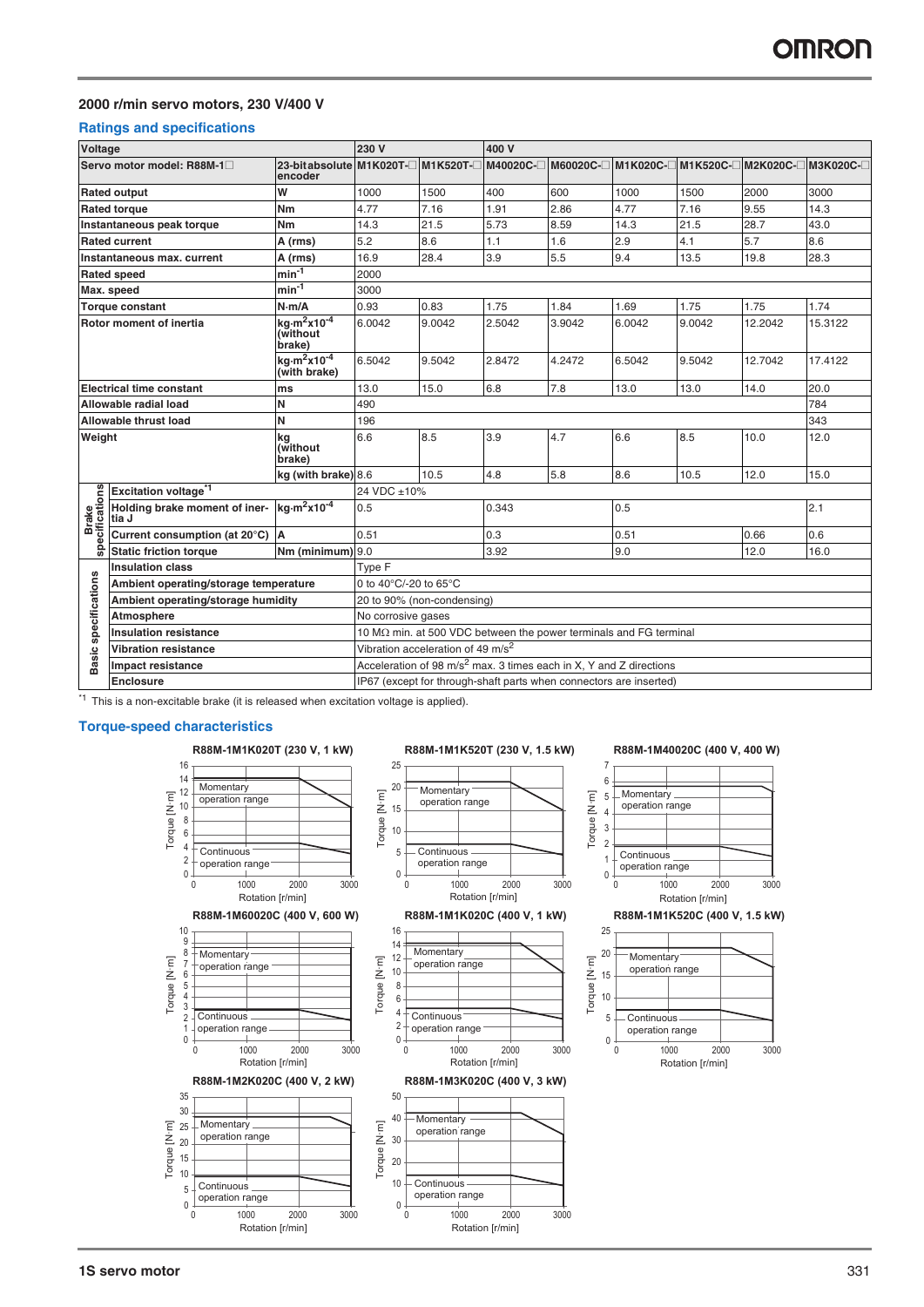### **2000 r/min servo motors, 230 V/400 V**

### **Ratings and specifications**

| Voltage                     |                                        |                                                                   | 230 V                                     |                                               | 400 V                                                                          |           |                                                                   |        |                                         |         |
|-----------------------------|----------------------------------------|-------------------------------------------------------------------|-------------------------------------------|-----------------------------------------------|--------------------------------------------------------------------------------|-----------|-------------------------------------------------------------------|--------|-----------------------------------------|---------|
|                             | Servo motor model: R88M-1□             | 23-bitabsolute M1K020T-□ M1K520T-□ M40020C-□<br>encoder           |                                           |                                               |                                                                                | M60020C-□ |                                                                   |        | M1K020C-□ M1K520C-□ M2K020C-□ M3K020C-□ |         |
|                             | <b>Rated output</b>                    | W                                                                 | 1000                                      | 1500                                          | 400                                                                            | 600       | 1000                                                              | 1500   | 2000                                    | 3000    |
|                             | <b>Rated torque</b>                    | Nm                                                                | 4.77                                      | 7.16                                          | 1.91                                                                           | 2.86      | 4.77                                                              | 7.16   | 9.55                                    | 14.3    |
|                             | Instantaneous peak torque              | Nm                                                                | 14.3                                      | 21.5                                          | 5.73                                                                           | 8.59      | 14.3                                                              | 21.5   | 28.7                                    | 43.0    |
|                             | <b>Rated current</b>                   | A (rms)                                                           | 5.2                                       | 8.6                                           | 1.1                                                                            | 1.6       | 2.9                                                               | 4.1    | 5.7                                     | 8.6     |
|                             | Instantaneous max, current             | A (rms)                                                           | 16.9                                      | 28.4                                          | 3.9                                                                            | 5.5       | 9.4                                                               | 13.5   | 19.8                                    | 28.3    |
|                             | <b>Rated speed</b>                     | $min-1$                                                           | 2000                                      |                                               |                                                                                |           |                                                                   |        |                                         |         |
|                             | Max. speed                             | $min-1$                                                           | 3000                                      |                                               |                                                                                |           |                                                                   |        |                                         |         |
|                             | <b>Torque constant</b>                 | N·m/A                                                             | 0.93                                      | 0.83                                          | 1.75                                                                           | 1.84      | 1.69                                                              | 1.75   | 1.75                                    | 1.74    |
|                             | Rotor moment of inertia                | kg $\cdot$ m <sup>2</sup> x10 <sup>-4</sup><br>(without<br>brake) | 6.0042                                    | 9.0042                                        | 2.5042                                                                         | 3.9042    | 6.0042                                                            | 9.0042 | 12.2042                                 | 15.3122 |
|                             |                                        | kg $\cdot$ m <sup>2</sup> x10 <sup>-4</sup><br>(with brake)       | 6.5042                                    | 9.5042                                        | 2.8472                                                                         | 4.2472    | 6.5042                                                            | 9.5042 | 12.7042                                 | 17.4122 |
|                             | <b>Electrical time constant</b>        | ms                                                                | 13.0                                      | 15.0                                          | 6.8                                                                            | 7.8       | 13.0                                                              | 13.0   | 14.0                                    | 20.0    |
|                             | Allowable radial load                  | N                                                                 | 490                                       |                                               |                                                                                |           |                                                                   |        |                                         | 784     |
|                             | Allowable thrust load                  | N                                                                 | 196                                       |                                               |                                                                                |           |                                                                   |        |                                         | 343     |
| Weight                      |                                        | kg<br>(without<br>brake)                                          | 6.6                                       | 8.5                                           | 3.9                                                                            | 4.7       | 6.6                                                               | 8.5    | 10.0                                    | 12.0    |
|                             |                                        | kg (with brake) 8.6                                               |                                           | 10.5                                          | 4.8                                                                            | 5.8       | 8.6                                                               | 10.5   | 12.0                                    | 15.0    |
|                             | Excitation voltage <sup>*1</sup>       |                                                                   | 24 VDC ±10%                               |                                               |                                                                                |           |                                                                   |        |                                         |         |
| Brake<br>specifications     | Holding brake moment of iner-<br>tia J | $kq·m2x10-4$                                                      | 0.5                                       |                                               | 0.343                                                                          |           | 0.5                                                               |        |                                         | 2.1     |
|                             | Current consumption (at 20°C)          | A                                                                 | 0.51                                      |                                               | 0.3                                                                            |           | 0.51                                                              |        | 0.66                                    | 0.6     |
|                             | <b>Static friction torque</b>          | Nm (minimum) 9.0                                                  |                                           |                                               | 3.92                                                                           |           | 9.0                                                               |        | 12.0                                    | 16.0    |
|                             | <b>Insulation class</b>                |                                                                   | Type F                                    |                                               |                                                                                |           |                                                                   |        |                                         |         |
|                             | Ambient operating/storage temperature  |                                                                   | 0 to 40 $\degree$ C/-20 to 65 $\degree$ C |                                               |                                                                                |           |                                                                   |        |                                         |         |
|                             | Ambient operating/storage humidity     |                                                                   |                                           | 20 to 90% (non-condensing)                    |                                                                                |           |                                                                   |        |                                         |         |
|                             | Atmosphere                             |                                                                   | No corrosive gases                        |                                               |                                                                                |           |                                                                   |        |                                         |         |
|                             | <b>Insulation resistance</b>           |                                                                   |                                           |                                               |                                                                                |           | 10 MΩ min. at 500 VDC between the power terminals and FG terminal |        |                                         |         |
|                             | <b>Vibration resistance</b>            |                                                                   |                                           | Vibration acceleration of 49 m/s <sup>2</sup> |                                                                                |           |                                                                   |        |                                         |         |
| <b>Basic specifications</b> | Impact resistance                      |                                                                   |                                           |                                               | Acceleration of 98 m/s <sup>2</sup> max. 3 times each in X, Y and Z directions |           |                                                                   |        |                                         |         |
|                             | <b>Enclosure</b>                       |                                                                   |                                           |                                               | IP67 (except for through-shaft parts when connectors are inserted)             |           |                                                                   |        |                                         |         |

 $*1$  This is a non-excitable brake (it is released when excitation voltage is applied).

### **Torque-speed characteristics**

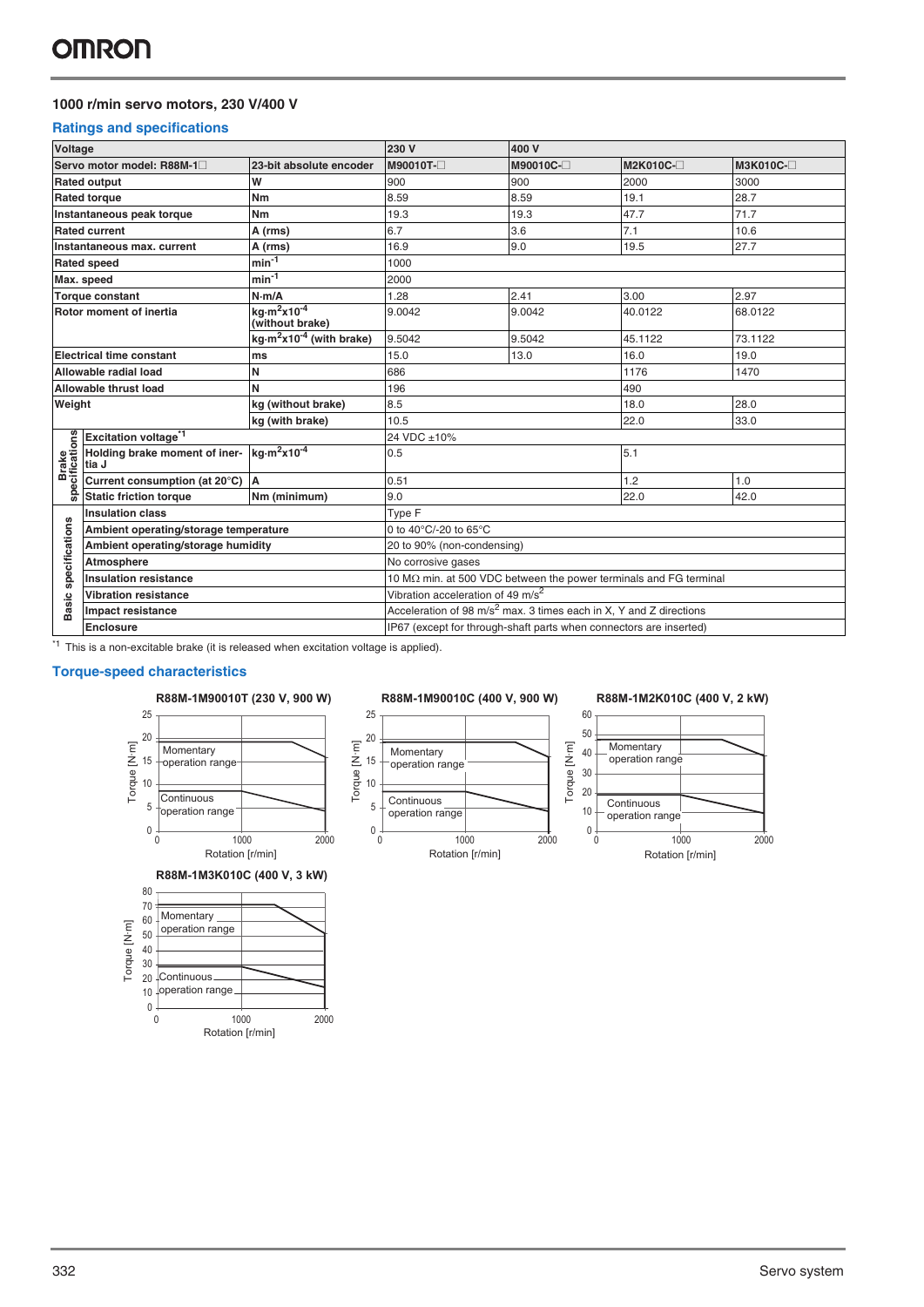### **1000 r/min servo motors, 230 V/400 V**

### **Ratings and specifications**

| Voltage                 |                                        |                                                          | 230 V                                                                 | 400 V     |                                                                   |           |
|-------------------------|----------------------------------------|----------------------------------------------------------|-----------------------------------------------------------------------|-----------|-------------------------------------------------------------------|-----------|
|                         | Servo motor model: R88M-1              | 23-bit absolute encoder                                  | M90010T-                                                              | M90010C-□ | M2K010C-□                                                         | M3K010C-□ |
|                         | <b>Rated output</b>                    | W                                                        | 900                                                                   | 900       | 2000                                                              | 3000      |
|                         | <b>Rated torque</b>                    | Nm                                                       | 8.59                                                                  | 8.59      | 19.1                                                              | 28.7      |
|                         | Instantaneous peak torque              | Nm                                                       | 19.3                                                                  | 19.3      | 47.7                                                              | 71.7      |
|                         | <b>Rated current</b>                   | A (rms)                                                  | 6.7                                                                   | 3.6       | 7.1                                                               | 10.6      |
|                         | Instantaneous max, current             | A (rms)                                                  | 16.9                                                                  | 9.0       | 19.5                                                              | 27.7      |
|                         | <b>Rated speed</b>                     | $min-1$                                                  | 1000                                                                  |           |                                                                   |           |
|                         | Max. speed                             | $min^{-1}$                                               | 2000                                                                  |           |                                                                   |           |
|                         | <b>Torque constant</b>                 | N·m/A                                                    | 1.28                                                                  | 2.41      | 3.00                                                              | 2.97      |
|                         | Rotor moment of inertia                | ka·m <sup>2</sup> x10 <sup>-4</sup><br>(without brake)   | 9.0042                                                                | 9.0042    | 40.0122                                                           | 68.0122   |
|                         |                                        | kg $\cdot$ m <sup>2</sup> x10 <sup>-4</sup> (with brake) | 9.5042                                                                | 9.5042    | 45.1122                                                           | 73.1122   |
|                         | <b>Electrical time constant</b>        | ms                                                       | 15.0                                                                  | 13.0      | 16.0                                                              | 19.0      |
|                         | Allowable radial load                  | N                                                        | 686                                                                   |           | 1176                                                              | 1470      |
|                         | Allowable thrust load                  | N                                                        | 196                                                                   |           | 490                                                               |           |
| Weight                  |                                        | kg (without brake)                                       | 8.5                                                                   |           | 18.0                                                              | 28.0      |
|                         |                                        | kg (with brake)                                          | 10.5                                                                  |           | 22.0                                                              | 33.0      |
|                         | Excitation voltage <sup>*1</sup>       |                                                          | 24 VDC ±10%                                                           |           |                                                                   |           |
| Brake<br>specifications | Holding brake moment of iner-<br>tia J | $kg·m2x10-4$                                             | 0.5                                                                   |           | 5.1                                                               |           |
|                         | Current consumption (at 20°C)          | <b>A</b>                                                 | 0.51                                                                  |           | 1.2                                                               | 1.0       |
|                         | <b>Static friction torque</b>          | Nm (minimum)                                             | 9.0                                                                   |           | 22.0                                                              | 42.0      |
|                         | <b>Insulation class</b>                |                                                          | Type F                                                                |           |                                                                   |           |
| specifications          | Ambient operating/storage temperature  |                                                          | 0 to 40°C/-20 to 65°C                                                 |           |                                                                   |           |
|                         | Ambient operating/storage humidity     |                                                          | 20 to 90% (non-condensing)                                            |           |                                                                   |           |
|                         | Atmosphere                             |                                                          | No corrosive gases                                                    |           |                                                                   |           |
|                         | <b>Insulation resistance</b>           |                                                          |                                                                       |           | 10 MΩ min. at 500 VDC between the power terminals and FG terminal |           |
|                         | <b>Vibration resistance</b>            |                                                          | Vibration acceleration of 49 m/s <sup>2</sup>                         |           |                                                                   |           |
| <b>Basic</b>            | Impact resistance                      |                                                          | Acceleration of 98 $m/s^2$ max. 3 times each in X, Y and Z directions |           |                                                                   |           |
|                         | <b>Enclosure</b>                       |                                                          | IP67 (except for through-shaft parts when connectors are inserted)    |           |                                                                   |           |

 $*1$  This is a non-excitable brake (it is released when excitation voltage is applied).

### **Torque-speed characteristics**



Rotation [r/min]

0 1000 2000



25



Torque [N·m]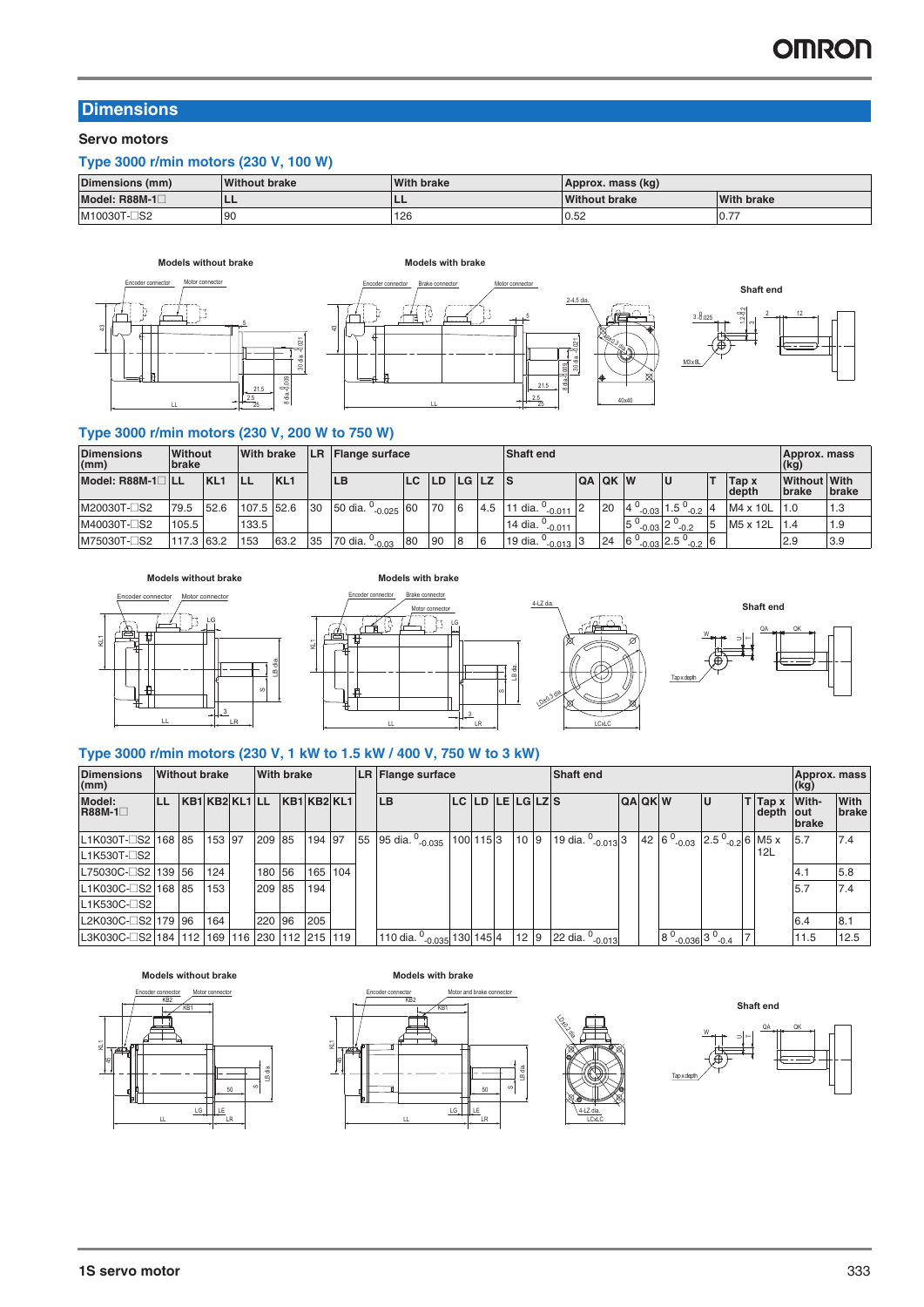### **Dimensions**

**Servo motors**

### **Type 3000 r/min motors (230 V, 100 W)**

| Dimensions (mm) | <b>Without brake</b> | <b>With brake</b> | Approx. mass (kg)    |                   |
|-----------------|----------------------|-------------------|----------------------|-------------------|
| Model: R88M-1   |                      | --                | <b>Without brake</b> | <b>With brake</b> |
| M10030T-□S2     | 90                   | 126               | 0.52                 | $-10.$            |





### **Type 3000 r/min motors (230 V, 200 W to 750 W)**

| <b>Dimensions</b><br>(mm)  | Without<br>brake |                 | <b>With brake</b> |                 | LR. |                                           | <b>Shaft end</b><br><b>Flange surface</b> |    |   |     |                                             |                |    |                      |                                              |                                     | Approx. mass<br>(kg) |     |
|----------------------------|------------------|-----------------|-------------------|-----------------|-----|-------------------------------------------|-------------------------------------------|----|---|-----|---------------------------------------------|----------------|----|----------------------|----------------------------------------------|-------------------------------------|----------------------|-----|
| Model: R88M-1 <sup>1</sup> |                  | KL <sub>1</sub> | <b>ILL</b>        | KL <sub>1</sub> |     | ILB                                       | LC LD<br><b>LGLZS</b>                     |    |   |     |                                             | <b>QA QK W</b> |    | ΙU                   | Tap x<br>depth                               | <b>Without With</b><br><b>brake</b> | <b>I</b> brake       |     |
| M20030T-CS2                | 79.5             | 52.6            | 107.5 52.6        |                 | 30  | 50 dia. <sup>0</sup> <sub>-0.025</sub> 60 |                                           | 70 | 6 | 4.5 | 11 dia. $^{0}$ <sub>-0.011</sub> 2          |                | 20 |                      | $-0.03$ 1.5 <sup>0</sup><br>$-0.2$ $\degree$ | $MA \times 10L$                     | 11.0                 | 1.3 |
| M40030T-□S2                | 105.5            |                 | 133.5             |                 |     |                                           |                                           |    |   |     | 14 dia. $\degree$ .<br>$-0.011$             |                |    | $-0.03$ <sup>2</sup> | $-0.2$                                       | M5 x 12L                            |                      | 1.9 |
| M75030T-□S2                | 117.3 63.2       |                 | 153               | 63.2            | 35  | 70 dia. $^{\circ}$<br>$-0.03$             | 80                                        | 90 | 8 | 6   | 19 dia. $^{\circ}$<br>$\frac{1}{2}$ 0.013 3 |                | 24 | $.6^{\circ}$         | $_{-0.03}$ 2.5 $^{\circ}$<br>$10^{10}$       |                                     | 2.9                  | 3.9 |









### **Type 3000 r/min motors (230 V, 1 kW to 1.5 kW / 400 V, 750 W to 3 kW)**

KL1

| <b>Dimensions</b><br>(mm)                           | <b>Without brake</b> |        |        | <b>With brake</b> |             |     | LR Flange surface                                 |                |                 | <b>Shaft end</b>            |                |                                                                |    |                          | Approx, mass<br>(Kg)   |                      |
|-----------------------------------------------------|----------------------|--------|--------|-------------------|-------------|-----|---------------------------------------------------|----------------|-----------------|-----------------------------|----------------|----------------------------------------------------------------|----|--------------------------|------------------------|----------------------|
| Model:<br><b>R88M-1</b> □                           | KB1 KB2 KL1 LL       |        |        |                   | KB1 KB2 KL1 |     | <b>LB</b>                                         | LC LD LE LGLZS |                 |                             | <b>QA QK W</b> |                                                                | IJ | $T$ Tap $x$<br>depth out | With-<br><b>Ibrake</b> | With<br><b>brake</b> |
| L1K030T-□S2 168 85                                  |                      | 153 97 | 209 85 |                   | 194 97      |     | 55 95 dia. 0 <sub>-0.035</sub> 100 115 3          |                | 10 9            | 19 dia. $^{0}$ -0.013 3     |                | 42 6 $^{0}$ <sub>-0.03</sub> 2.5 $^{0}$ <sub>-0.2</sub> 6 M5 x |    |                          | 5.7                    | 7.4                  |
| L1K530T-CS2                                         |                      |        |        |                   |             |     |                                                   |                |                 |                             |                |                                                                |    | 12L                      |                        |                      |
| L75030C-□S2 139 56                                  |                      | 124    | 180 56 |                   | 165         | 104 |                                                   |                |                 |                             |                |                                                                |    |                          | 4.                     | 5.8                  |
| L1K030C-□S2 168 85                                  |                      | 153    | 209 85 |                   | 194         |     |                                                   |                |                 |                             |                |                                                                |    |                          | 5.7                    | 7.4                  |
| L1K530C-□S2                                         |                      |        |        |                   |             |     |                                                   |                |                 |                             |                |                                                                |    |                          |                        |                      |
| L2K030C-□S2 179 96                                  |                      | 164    | 220 96 |                   | 205         |     |                                                   |                |                 |                             |                |                                                                |    |                          | 6.4                    | 8.1                  |
| IL3K030C-⊟S2I184 I112 I169 I116 I230 I112 I215 I119 |                      |        |        |                   |             |     | 110 dia. <sup>0</sup> <sub>-0.035</sub> 130 145 4 |                | 12 <sup>9</sup> | 22 dia. <sup>0</sup> -0.013 |                | $8^{0}$ -0.036 3 $^{0}$ -0.4                                   |    |                          | 11.5                   | 12.5                 |







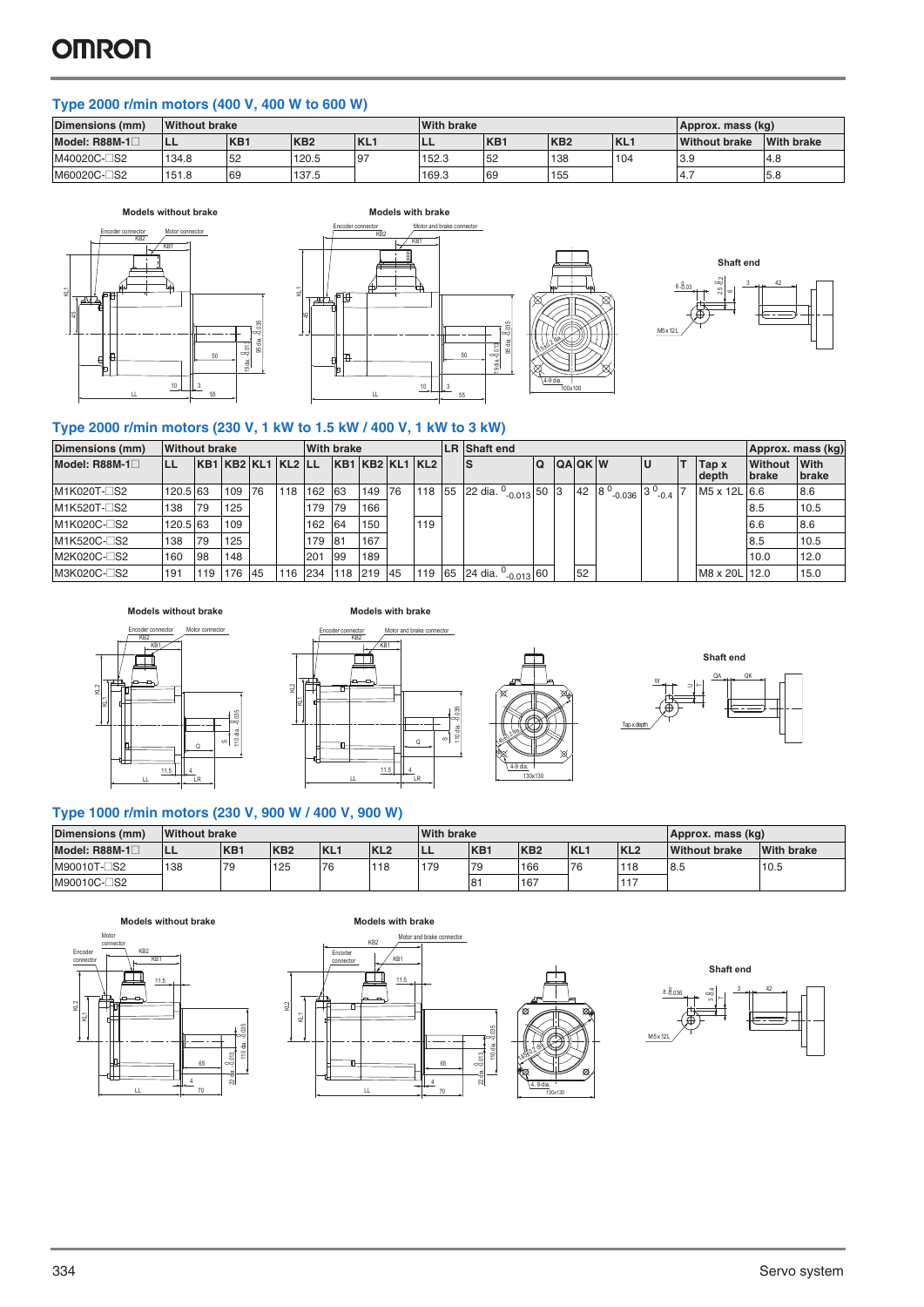### **Type 2000 r/min motors (400 V, 400 W to 600 W)**

| Dimensions (mm) | <b>Without brake</b> |                 |                 |            | <b>With brake</b> |     |                 |                 | Approx. mass (kg)    |                   |
|-----------------|----------------------|-----------------|-----------------|------------|-------------------|-----|-----------------|-----------------|----------------------|-------------------|
| Model: R88M-1⊟  | ILL                  | KB <sub>1</sub> | KB <sub>2</sub> | <b>KL1</b> | ᄔ                 | KB1 | KB <sub>2</sub> | KL <sub>1</sub> | <b>Without brake</b> | <b>With brake</b> |
| M40020C-CS2     | 134.8                | 52              | 120.5           | 97         | 152.3             | 52  | 138             | 104             | 3.9                  | 4.8               |
| M60020C-CS2     | 151.8                | 69              | 137.5           |            | 169.3             | 69  | 155             |                 | 4.1                  | 5.8               |







### **Type 2000 r/min motors (230 V, 1 kW to 1.5 kW / 400 V, 1 kW to 3 kW)**

| Dimensions (mm)         | <b>Without brake</b> |           |        |           |                    | <b>With brake</b> |            |     |                 |        |    | <b>LR</b> Shaft end                   |     |                   |                                           |                          | Approx. mass (kg)       |                      |
|-------------------------|----------------------|-----------|--------|-----------|--------------------|-------------------|------------|-----|-----------------|--------|----|---------------------------------------|-----|-------------------|-------------------------------------------|--------------------------|-------------------------|----------------------|
| Model: R88M-1 $\square$ |                      |           |        |           | KB1 KB2 KL1 KL2 LL |                   |            |     | KB1 KB2 KL1 KL2 |        |    | IS                                    | l Q | <b>QAQKW</b>      | lU                                        | Tap x<br>depth           | Without<br><b>brake</b> | With<br><b>brake</b> |
| M1K020T-□S2             | 120.5 63             |           | 109    | <b>76</b> | 118 162            |                   | 63         | 149 | 176             | 118 55 |    | 22 dia. $^{0}$ <sub>-0.013</sub> 50 3 |     | 42 8 <sup>0</sup> | $\frac{1}{2}$ -0.036 3 $\frac{0}{2}$ -0.4 | M <sub>5</sub> x 12L 6.6 |                         | 8.6                  |
| M1K520T-□S2             | 138                  | <b>79</b> | 125    |           |                    | 179               | <b>179</b> | 166 |                 |        |    |                                       |     |                   |                                           |                          | 18.5                    | 10.5                 |
| M1K020C-□S2             | 120.5 63             |           | 109    |           |                    | 162               | 64         | 150 |                 | 119    |    |                                       |     |                   |                                           |                          | 6.6                     | 8.6                  |
| M1K520C-□S2             | 138                  | <b>79</b> | 125    |           |                    | 179 81            |            | 167 |                 |        |    |                                       |     |                   |                                           |                          | 8.5                     | 10.5                 |
| M2K020C-□S2             | 160                  | 98        | 148    |           |                    | 201               | 99         | 189 |                 |        |    |                                       |     |                   |                                           |                          | 10.0                    | 12.0                 |
| M3K020C-□S2             | 191                  | 119       | 176 45 |           | 116 234            |                   | 118        | 219 | 45              | 119    | 65 | 24 dia. <sup>0</sup> -0.013 60        |     | 52                |                                           | M8 x 20L 12.0            |                         | 15.0                 |

Models without brake **Models** with brake









### **Type 1000 r/min motors (230 V, 900 W / 400 V, 900 W)**

| Dimensions (mm) | <b>Without brake</b> |                 |                 |                 |                 | <b>With brake</b> |                  |                 |                 |                 | Approx. mass (kg)    |                   |
|-----------------|----------------------|-----------------|-----------------|-----------------|-----------------|-------------------|------------------|-----------------|-----------------|-----------------|----------------------|-------------------|
| Model: $R88M-1$ | ILL                  | KB <sub>1</sub> | KB <sub>2</sub> | KL <sub>1</sub> | KL <sub>2</sub> | --                | K <sub>B</sub> 1 | KB <sub>2</sub> | KL <sub>1</sub> | KL <sub>2</sub> | <b>Without brake</b> | <b>With brake</b> |
| M90010T-□S2     | 138                  | 79              | 125             | 76              | 118             | 179               | 179              | 166             | 76              | 118             | 8.5                  | 10.5              |
| M90010C-□S2     |                      |                 |                 |                 |                 |                   | 81               | 167             |                 | 117             |                      |                   |

 $22 \theta$ a.  $8013$ 

4 65





LL



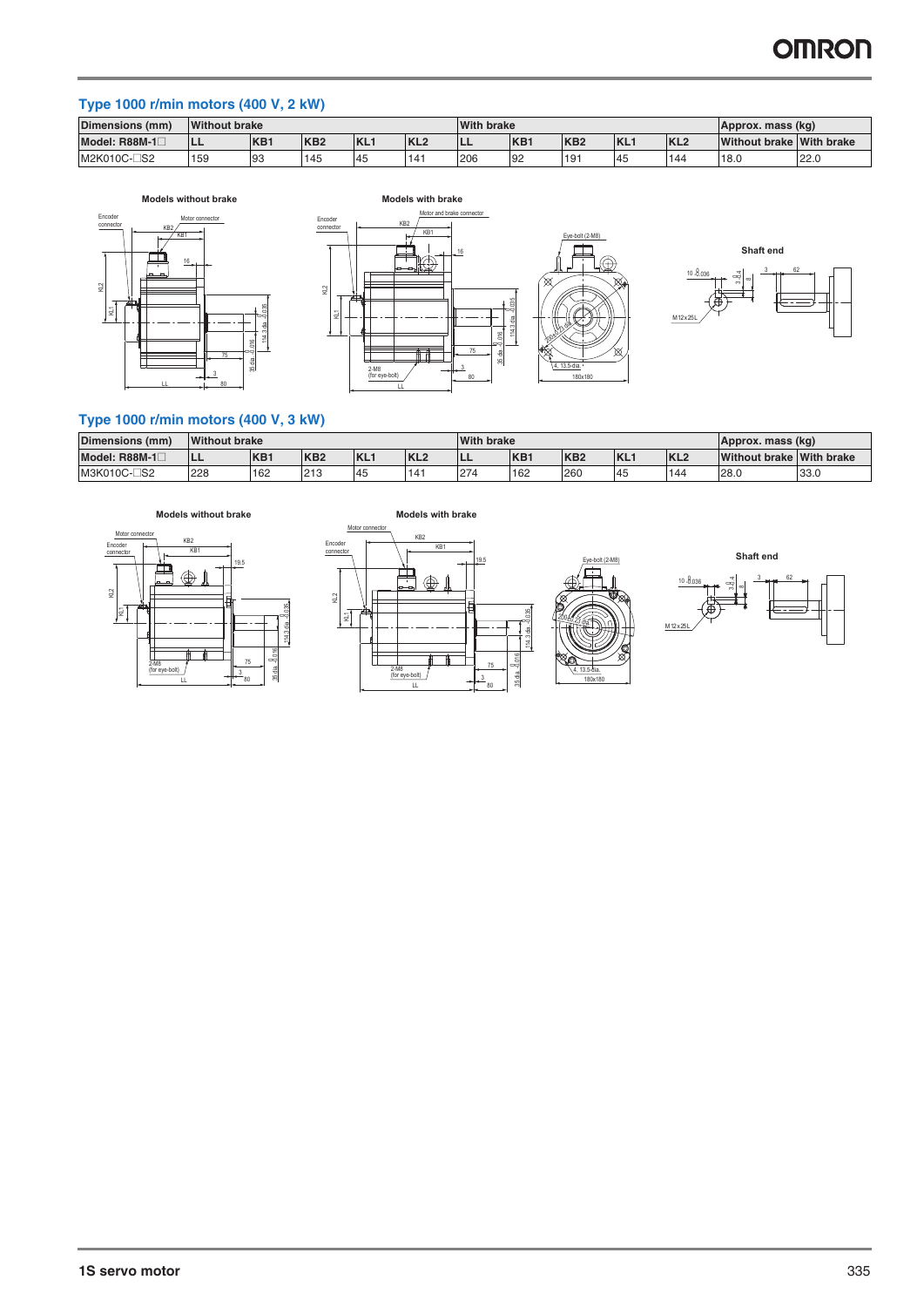### **Type 1000 r/min motors (400 V, 2 kW)**

| <b>Dimensions</b><br>(mm) | <b>Without brake</b>                                   |    |     |    |     | <b>With brake</b> |     |                 |      |                 | Approx. mass (kg)        |      |
|---------------------------|--------------------------------------------------------|----|-----|----|-----|-------------------|-----|-----------------|------|-----------------|--------------------------|------|
| Model: R88M-1             | KL.<br>KB1<br>KB <sub>2</sub><br>KL <sub>2</sub><br>LL |    |     |    |     | <b>ILL</b>        | KB1 | KB <sub>2</sub> | IKL. | KL <sub>2</sub> | Without brake With brake |      |
| $\square$ s2<br>M2K010C-L | 159                                                    | 93 | 145 | 45 | 141 | 206               | 92  | 191             | 45   | 144             | 18.0                     | 22.0 |







### **Type 1000 r/min motors (400 V, 3 kW)**

| Dimensions (mm)           | <b>Without brake</b> |                  |                 |      |                 | <b>With brake</b> |                  |                 |      | Approx. mass (kg) |                          |      |
|---------------------------|----------------------|------------------|-----------------|------|-----------------|-------------------|------------------|-----------------|------|-------------------|--------------------------|------|
| Model: R88M-1L            | --                   | K <sub>B</sub> 1 | KB <sub>2</sub> | IKL. | KL <sub>2</sub> | -                 | K <sub>B</sub> 1 | KB <sub>2</sub> | IKL. | KL <sub>2</sub>   | Without brake With brake |      |
| $\square$ S2<br>M3K010C-L | 228                  | 162              | 213             | .45  | 141             | 274               | 162              | 260             | 45   | 144               | 28.0                     | 33.0 |







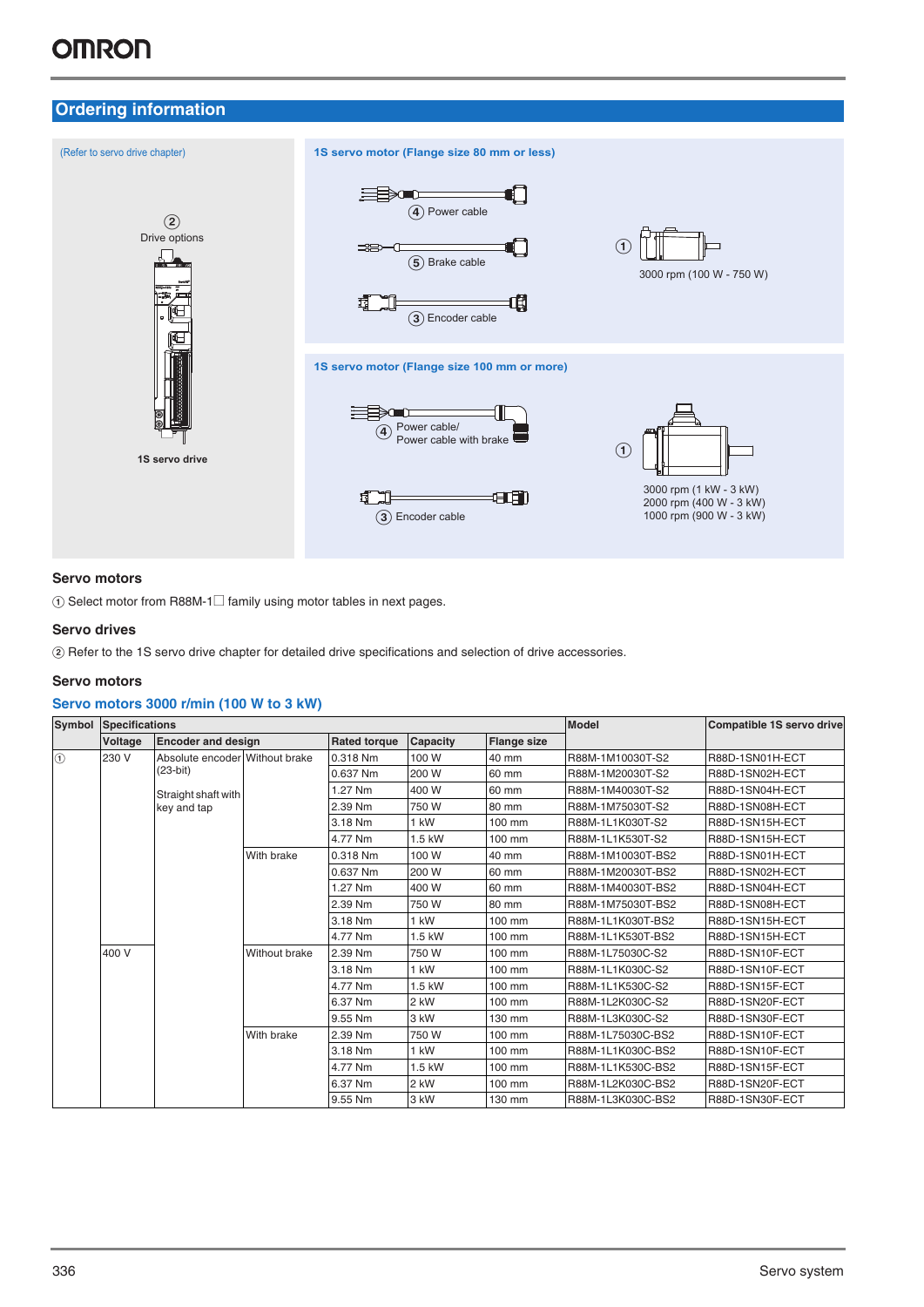### **Ordering information**



### **Servo motors**

 $\circled{1}$  Select motor from R88M-1 $\square$  family using motor tables in next pages.

### **Servo drives**

B Refer to the 1S servo drive chapter for detailed drive specifications and selection of drive accessories.

### **Servo motors**

### **Servo motors 3000 r/min (100 W to 3 kW)**

| Symbol        | <b>Specifications</b> |                                |                           | <b>Model</b> | Compatible 1S servo drive                             |        |                   |                 |  |
|---------------|-----------------------|--------------------------------|---------------------------|--------------|-------------------------------------------------------|--------|-------------------|-----------------|--|
|               | Voltage               |                                | <b>Encoder and design</b> |              | <b>Rated torque</b><br>Capacity<br><b>Flange size</b> |        |                   |                 |  |
| $\circled{1}$ | 230 V                 | Absolute encoder Without brake |                           | 0.318 Nm     | 100 W                                                 | 40 mm  | R88M-1M10030T-S2  | R88D-1SN01H-ECT |  |
|               |                       | $(23-bit)$                     |                           | 0.637 Nm     | 200 W                                                 | 60 mm  | R88M-1M20030T-S2  | R88D-1SN02H-ECT |  |
|               |                       | Straight shaft with            |                           | .27 Nm       | 400 W                                                 | 60 mm  | R88M-1M40030T-S2  | R88D-1SN04H-ECT |  |
|               |                       | key and tap                    |                           | 2.39 Nm      | 750 W                                                 | 80 mm  | R88M-1M75030T-S2  | R88D-1SN08H-ECT |  |
|               |                       |                                |                           | 3.18 Nm      | 1 kW                                                  | 100 mm | R88M-1L1K030T-S2  | R88D-1SN15H-ECT |  |
|               |                       |                                |                           | 4.77 Nm      | 1.5 kW                                                | 100 mm | R88M-1L1K530T-S2  | R88D-1SN15H-ECT |  |
|               |                       |                                | With brake                | 0.318 Nm     | 100 W                                                 | 40 mm  | R88M-1M10030T-BS2 | R88D-1SN01H-ECT |  |
|               |                       |                                |                           | 0.637 Nm     | 200 W                                                 | 60 mm  | R88M-1M20030T-BS2 | R88D-1SN02H-ECT |  |
|               |                       |                                |                           | 1.27 Nm      | 400 W                                                 | 60 mm  | R88M-1M40030T-BS2 | R88D-1SN04H-ECT |  |
|               |                       |                                |                           | 2.39 Nm      | 750 W                                                 | 80 mm  | R88M-1M75030T-BS2 | R88D-1SN08H-ECT |  |
|               |                       |                                |                           | 3.18 Nm      | 1 kW                                                  | 100 mm | R88M-1L1K030T-BS2 | R88D-1SN15H-ECT |  |
|               |                       |                                |                           | 4.77 Nm      | 1.5 kW                                                | 100 mm | R88M-1L1K530T-BS2 | R88D-1SN15H-ECT |  |
|               | 400 V                 |                                | Without brake             | 2.39 Nm      | 750 W                                                 | 100 mm | R88M-1L75030C-S2  | R88D-1SN10F-ECT |  |
|               |                       |                                |                           | 3.18 Nm      | 1 kW                                                  | 100 mm | R88M-1L1K030C-S2  | R88D-1SN10F-ECT |  |
|               |                       |                                |                           | 4.77 Nm      | $1.5$ kW                                              | 100 mm | R88M-1L1K530C-S2  | R88D-1SN15F-ECT |  |
|               |                       |                                |                           | 6.37 Nm      | 2 kW                                                  | 100 mm | R88M-1L2K030C-S2  | R88D-1SN20F-ECT |  |
|               |                       |                                |                           | 9.55 Nm      | 3 kW                                                  | 130 mm | R88M-1L3K030C-S2  | R88D-1SN30F-ECT |  |
|               |                       |                                | With brake                | 2.39 Nm      | 750 W                                                 | 100 mm | R88M-1L75030C-BS2 | R88D-1SN10F-ECT |  |
|               |                       |                                |                           | 3.18 Nm      | 1 kW                                                  | 100 mm | R88M-1L1K030C-BS2 | R88D-1SN10F-ECT |  |
|               |                       |                                |                           | 4.77 Nm      | 1.5 kW                                                | 100 mm | R88M-1L1K530C-BS2 | R88D-1SN15F-ECT |  |
|               |                       |                                |                           | 6.37 Nm      | 2 kW                                                  | 100 mm | R88M-1L2K030C-BS2 | R88D-1SN20F-ECT |  |
|               |                       |                                |                           | 9.55 Nm      | 3 kW                                                  | 130 mm | R88M-1L3K030C-BS2 | R88D-1SN30F-ECT |  |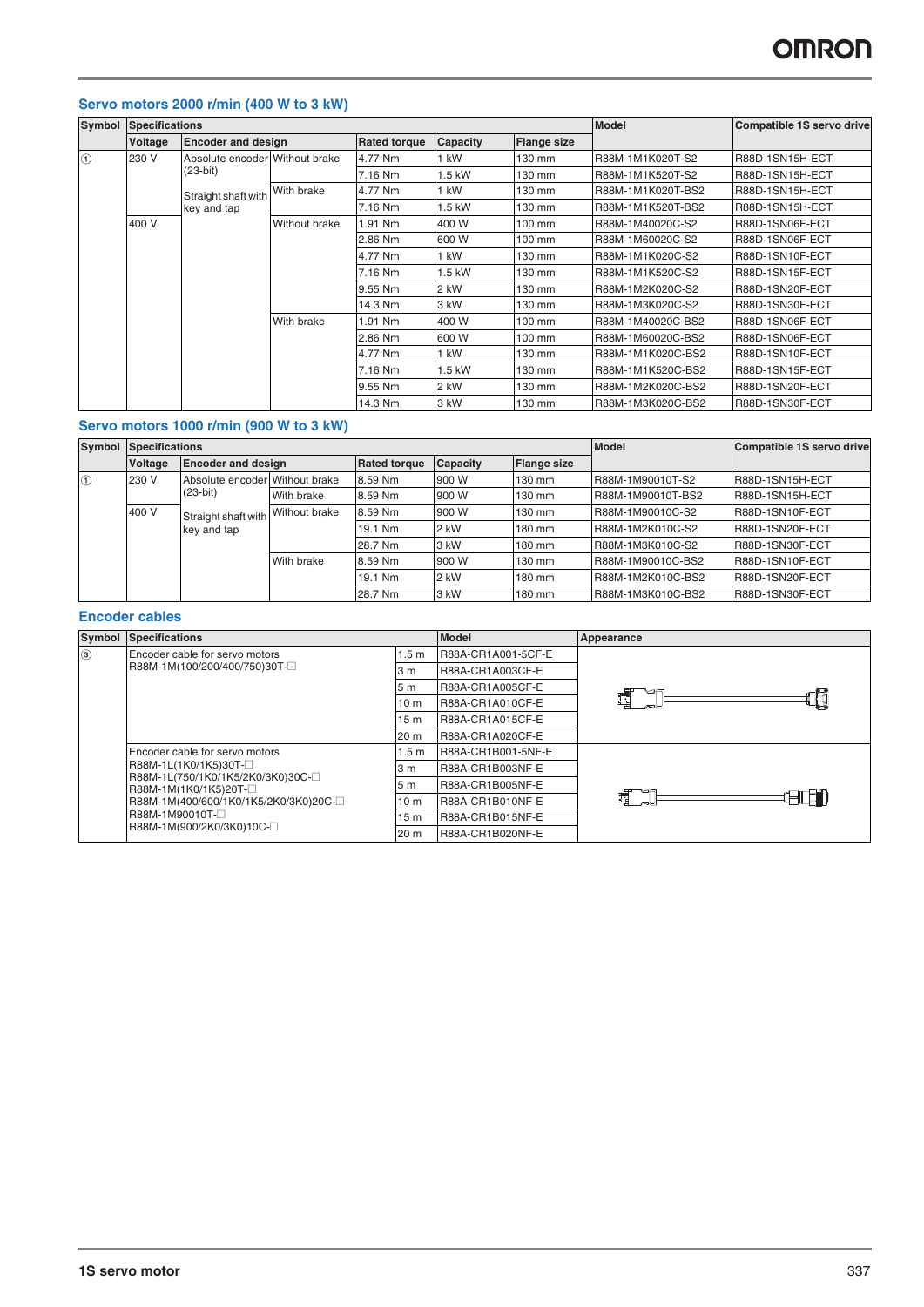### **Servo motors 2000 r/min (400 W to 3 kW)**

| Symbol  | <b>Specifications</b> |                                |                             | <b>Model</b> | Compatible 1S servo drive |                    |                   |                 |
|---------|-----------------------|--------------------------------|-----------------------------|--------------|---------------------------|--------------------|-------------------|-----------------|
|         | Voltage               | <b>Encoder and design</b>      | <b>Rated torque</b>         |              | Capacity                  | <b>Flange size</b> |                   |                 |
| $\circ$ | 230 V                 | Absolute encoder Without brake |                             | 4.77 Nm      | kW                        | 130 mm             | R88M-1M1K020T-S2  | R88D-1SN15H-ECT |
|         |                       | $(23-bit)$                     |                             | 7.16 Nm      | $1.5$ kW                  | 130 mm             | R88M-1M1K520T-S2  | R88D-1SN15H-ECT |
|         |                       | Straight shaft with            | With brake                  | 4.77 Nm      | kW                        | 130 mm             | R88M-1M1K020T-BS2 | R88D-1SN15H-ECT |
|         |                       | key and tap                    |                             | 7.16 Nm      | .5 kW                     | 130 mm             | R88M-1M1K520T-BS2 | R88D-1SN15H-ECT |
|         | 400 V                 |                                | Without brake<br>With brake | 1.91 Nm      | 400 W                     | 100 mm             | R88M-1M40020C-S2  | R88D-1SN06F-ECT |
|         |                       |                                |                             | 2.86 Nm      | 600 W                     | 100 mm             | R88M-1M60020C-S2  | R88D-1SN06F-ECT |
|         |                       |                                |                             | 4.77 Nm      | l kW                      | 130 mm             | R88M-1M1K020C-S2  | R88D-1SN10F-ECT |
|         |                       |                                |                             | 7.16 Nm      | 1.5 kW                    | 130 mm             | R88M-1M1K520C-S2  | R88D-1SN15F-ECT |
|         |                       |                                |                             | 9.55 Nm      | 2 kW                      | 130 mm             | R88M-1M2K020C-S2  | R88D-1SN20F-ECT |
|         |                       |                                |                             | 14.3 Nm      | 3 kW                      | 130 mm             | R88M-1M3K020C-S2  | R88D-1SN30F-ECT |
|         |                       |                                |                             | 1.91 Nm      | 400 W                     | 100 mm             | R88M-1M40020C-BS2 | R88D-1SN06F-ECT |
|         |                       |                                |                             | 2.86 Nm      | 600 W                     | 100 mm             | R88M-1M60020C-BS2 | R88D-1SN06F-ECT |
|         |                       |                                |                             | 4.77 Nm      | kW                        | 130 mm             | R88M-1M1K020C-BS2 | R88D-1SN10F-ECT |
|         |                       |                                |                             | 7.16 Nm      | 1.5 kW                    | 130 mm             | R88M-1M1K520C-BS2 | R88D-1SN15F-ECT |
|         |                       |                                |                             | 9.55 Nm      | 2 kW                      | 130 mm             | R88M-1M2K020C-BS2 | R88D-1SN20F-ECT |
|         |                       |                                |                             | 14.3 Nm      | 3 kW                      | 130 mm             | R88M-1M3K020C-BS2 | R88D-1SN30F-ECT |

### **Servo motors 1000 r/min (900 W to 3 kW)**

|         | <b>Symbol Specifications</b>                              |                                |            | <b>Model</b>        | Compatible 1S servo drive |                    |                   |                 |
|---------|-----------------------------------------------------------|--------------------------------|------------|---------------------|---------------------------|--------------------|-------------------|-----------------|
|         | Voltage                                                   | <b>Encoder and design</b>      |            | <b>Rated torque</b> | Capacity                  | <b>Flange size</b> |                   |                 |
| $\odot$ | 230 V                                                     | Absolute encoder Without brake |            | 8.59 Nm             | 900 W                     | 130 mm             | R88M-1M90010T-S2  | R88D-1SN15H-ECT |
|         | $(23-bit)$                                                |                                | With brake | 8.59 Nm             | 900 W                     | 130 mm             | R88M-1M90010T-BS2 | R88D-1SN15H-ECT |
|         | 400 V<br>Straight shaft with Without brake<br>key and tap |                                | 8.59 Nm    | 900 W               | 130 mm                    | R88M-1M90010C-S2   | R88D-1SN10F-ECT   |                 |
|         |                                                           |                                |            | 19.1 Nm             | 2 kW                      | 180 mm             | R88M-1M2K010C-S2  | R88D-1SN20F-ECT |
|         |                                                           |                                |            | 28.7 Nm             | 3 kW                      | 180 mm             | R88M-1M3K010C-S2  | R88D-1SN30F-ECT |
|         |                                                           |                                | With brake | 8.59 Nm             | 900 W                     | 130 mm             | R88M-1M90010C-BS2 | R88D-1SN10F-ECT |
|         |                                                           |                                |            | 19.1 Nm             | 2 kW                      | 180 mm             | R88M-1M2K010C-BS2 | R88D-1SN20F-ECT |
|         |                                                           |                                |            | 28.7 Nm             | 3 kW                      | 180 mm             | R88M-1M3K010C-BS2 | R88D-1SN30F-ECT |

### **Encoder cables**

| Symbol        | <b>Specifications</b>                                    |                 | <b>Model</b>       | Appearance |
|---------------|----------------------------------------------------------|-----------------|--------------------|------------|
| $\circled{3}$ | Encoder cable for servo motors                           | .5 <sub>m</sub> | R88A-CR1A001-5CF-E |            |
|               | R88M-1M(100/200/400/750)30T-                             | 3 m             | R88A-CR1A003CF-E   |            |
|               |                                                          | 5 <sub>m</sub>  | R88A-CR1A005CF-E   |            |
|               |                                                          | 10 <sub>m</sub> | R88A-CR1A010CF-E   | 冠          |
|               |                                                          | 15 m            | R88A-CR1A015CF-E   |            |
|               |                                                          | 20 m            | R88A-CR1A020CF-E   |            |
|               | Encoder cable for servo motors                           | .5 <sub>m</sub> | R88A-CR1B001-5NF-E |            |
|               | R88M-1L(1K0/1K5)30T-<br>R88M-1L(750/1K0/1K5/2K0/3K0)30C- | 3 m             | R88A-CR1B003NF-E   |            |
|               | R88M-1M(1K0/1K5)20T-                                     | 5 <sub>m</sub>  | R88A-CR1B005NF-E   |            |
|               | R88M-1M(400/600/1K0/1K5/2K0/3K0)20C-                     | 10 <sub>m</sub> | R88A-CR1B010NF-E   | π          |
|               | R88M-1M90010T-                                           | 15 m            | R88A-CR1B015NF-E   |            |
|               | R88M-1M(900/2K0/3K0)10C-                                 | 20 m            | R88A-CR1B020NF-E   |            |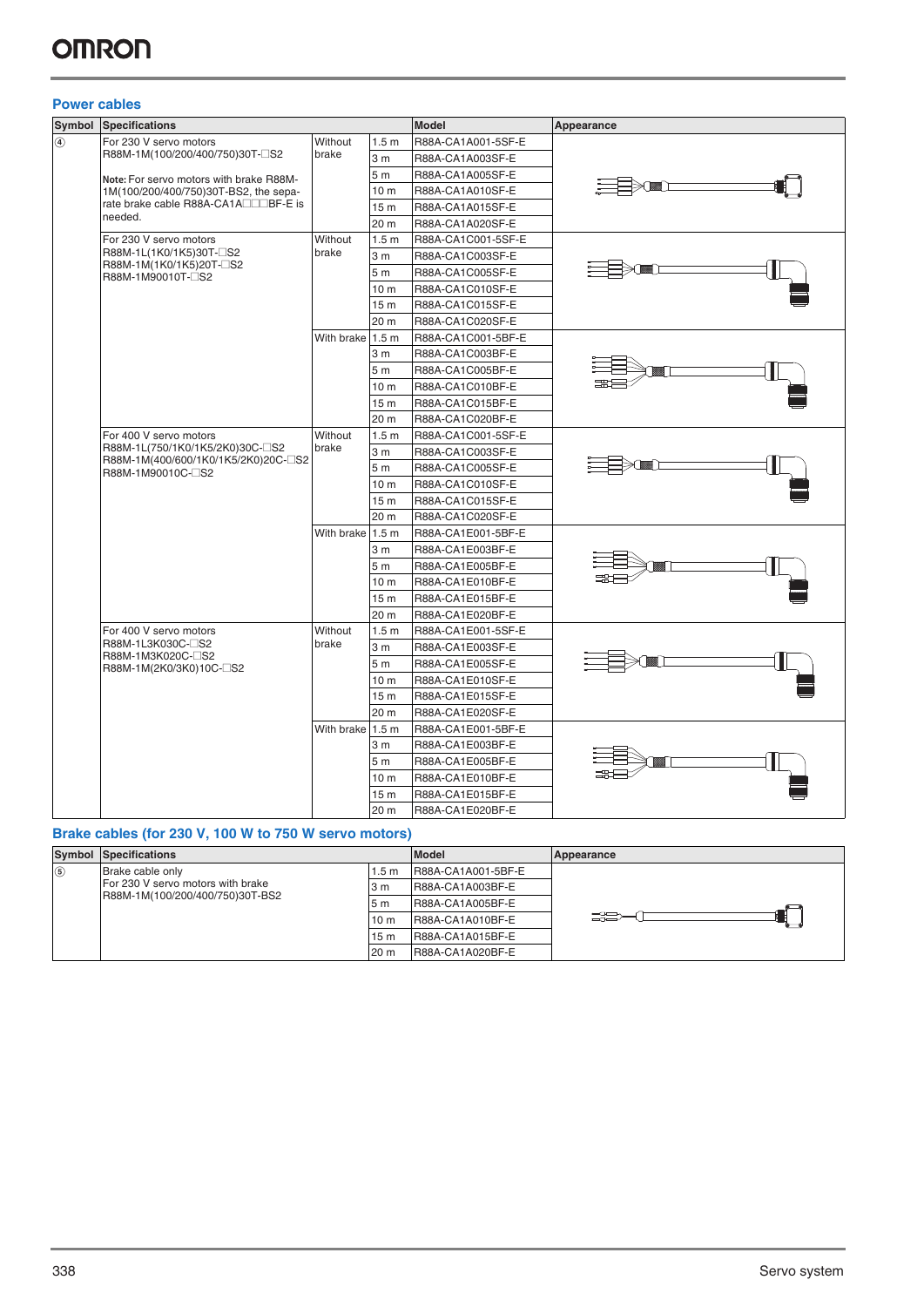### **Power cables**

| Symbol                      | <b>Specifications</b>                                                                             |                  |                  | <b>Model</b>       | Appearance |
|-----------------------------|---------------------------------------------------------------------------------------------------|------------------|------------------|--------------------|------------|
| $\left(\overline{4}\right)$ | For 230 V servo motors                                                                            | Without          | 1.5 <sub>m</sub> | R88A-CA1A001-5SF-E |            |
|                             | R88M-1M(100/200/400/750)30T-CS2                                                                   | brake            | 3 <sub>m</sub>   | R88A-CA1A003SF-E   |            |
|                             | Note: For servo motors with brake R88M-                                                           |                  | 5 <sub>m</sub>   | R88A-CA1A005SF-E   |            |
|                             | 1M(100/200/400/750)30T-BS2, the sepa-                                                             |                  | 10 <sub>m</sub>  | R88A-CA1A010SF-E   |            |
|                             | rate brake cable R88A-CA1A□□□BF-E is                                                              |                  | 15 <sub>m</sub>  | R88A-CA1A015SF-E   |            |
|                             | needed.                                                                                           |                  | 20 m             | R88A-CA1A020SF-E   |            |
|                             | For 230 V servo motors<br>R88M-1L(1K0/1K5)30T-2S2<br>R88M-1M(1K0/1K5)20T-□S2<br>R88M-1M90010T-CS2 | Without          | 1.5 <sub>m</sub> | R88A-CA1C001-5SF-E |            |
|                             |                                                                                                   | brake            | 3 <sub>m</sub>   | R88A-CA1C003SF-E   |            |
|                             |                                                                                                   |                  | 5 <sub>m</sub>   | R88A-CA1C005SF-E   |            |
|                             |                                                                                                   |                  | 10 <sub>m</sub>  | R88A-CA1C010SF-E   |            |
|                             |                                                                                                   |                  | 15 m             | R88A-CA1C015SF-E   |            |
|                             |                                                                                                   |                  | 20 m             | R88A-CA1C020SF-E   |            |
|                             |                                                                                                   | With brake 1.5 m |                  | R88A-CA1C001-5BF-E |            |
|                             |                                                                                                   |                  | 3 <sub>m</sub>   | R88A-CA1C003BF-E   |            |
|                             |                                                                                                   |                  | 5 <sub>m</sub>   | R88A-CA1C005BF-E   |            |
|                             |                                                                                                   |                  | 10 m             | R88A-CA1C010BF-E   |            |
|                             |                                                                                                   |                  | 15 m             | R88A-CA1C015BF-E   |            |
|                             |                                                                                                   |                  | 20 m             | R88A-CA1C020BF-E   |            |
|                             | For 400 V servo motors                                                                            | Without          | 1.5 <sub>m</sub> | R88A-CA1C001-5SF-E |            |
|                             | R88M-1L(750/1K0/1K5/2K0)30C-CS2                                                                   | brake            | 3 <sub>m</sub>   | R88A-CA1C003SF-E   |            |
|                             | R88M-1M(400/600/1K0/1K5/2K0)20C-CS2<br>R88M-1M90010C-CS2                                          |                  | 5 <sub>m</sub>   | R88A-CA1C005SF-E   |            |
|                             |                                                                                                   |                  | 10 m             | R88A-CA1C010SF-E   |            |
|                             |                                                                                                   |                  | 15 <sub>m</sub>  | R88A-CA1C015SF-E   |            |
|                             |                                                                                                   |                  | 20 m             | R88A-CA1C020SF-E   |            |
|                             |                                                                                                   | With brake       | 1.5 <sub>m</sub> | R88A-CA1E001-5BF-E |            |
|                             |                                                                                                   |                  | 3 <sub>m</sub>   | R88A-CA1E003BF-E   |            |
|                             |                                                                                                   |                  | 5 <sub>m</sub>   | R88A-CA1E005BF-E   |            |
|                             |                                                                                                   |                  | 10 <sub>m</sub>  | R88A-CA1E010BF-E   |            |
|                             |                                                                                                   |                  | 15 <sub>m</sub>  | R88A-CA1E015BF-E   |            |
|                             |                                                                                                   |                  | 20 m             | R88A-CA1E020BF-E   |            |
|                             | For 400 V servo motors                                                                            | Without          | 1.5 <sub>m</sub> | R88A-CA1E001-5SF-E |            |
|                             | R88M-1L3K030C-CS2                                                                                 | brake            | 3 <sub>m</sub>   | R88A-CA1E003SF-E   |            |
|                             | R88M-1M3K020C-□S2<br>R88M-1M(2K0/3K0)10C-□S2                                                      |                  | 5 <sub>m</sub>   | R88A-CA1E005SF-E   |            |
|                             |                                                                                                   |                  | 10 <sub>m</sub>  | R88A-CA1E010SF-E   |            |
|                             |                                                                                                   |                  | 15 <sub>m</sub>  | R88A-CA1E015SF-E   |            |
|                             |                                                                                                   |                  | 20 m             | R88A-CA1E020SF-E   |            |
|                             |                                                                                                   | With brake 1.5 m |                  | R88A-CA1E001-5BF-E |            |
|                             |                                                                                                   |                  | 3 m              | R88A-CA1E003BF-E   |            |
|                             |                                                                                                   |                  | 5m               | R88A-CA1E005BF-E   |            |
|                             |                                                                                                   |                  | 10 <sub>m</sub>  | R88A-CA1E010BF-E   |            |
|                             |                                                                                                   |                  | 15 <sub>m</sub>  | R88A-CA1E015BF-E   |            |
|                             |                                                                                                   |                  | 20 m             | R88A-CA1E020BF-E   |            |

### **Brake cables (for 230 V, 100 W to 750 W servo motors)**

|               | <b>Symbol Specifications</b>                                         |                 | <b>Model</b>       | Appearance |
|---------------|----------------------------------------------------------------------|-----------------|--------------------|------------|
| $\circled{5}$ | Brake cable only                                                     | .5 m            | R88A-CA1A001-5BF-E |            |
|               | For 230 V servo motors with brake<br>R88M-1M(100/200/400/750)30T-BS2 | 3 m             | R88A-CA1A003BF-E   |            |
|               |                                                                      | 5 <sub>m</sub>  | R88A-CA1A005BF-E   |            |
|               |                                                                      | 10 <sub>m</sub> | R88A-CA1A010BF-E   | <b>SS</b>  |
|               |                                                                      | 15 m            | R88A-CA1A015BF-E   |            |
|               |                                                                      | 20 m            | R88A-CA1A020BF-E   |            |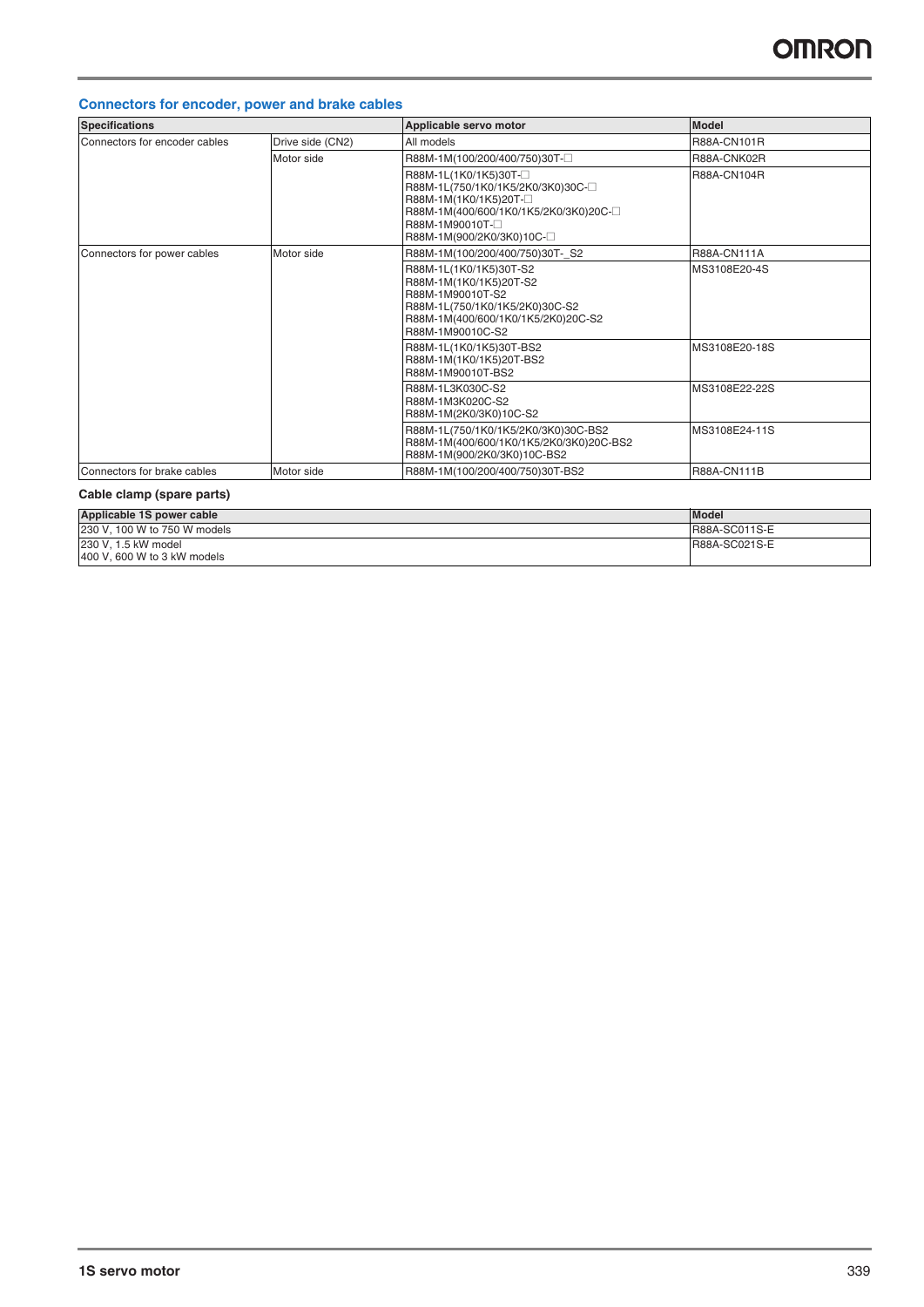### **Connectors for encoder, power and brake cables**

| <b>Specifications</b>         |                  | Applicable servo motor                                                                                                                                                            | <b>Model</b>       |
|-------------------------------|------------------|-----------------------------------------------------------------------------------------------------------------------------------------------------------------------------------|--------------------|
| Connectors for encoder cables | Drive side (CN2) | All models                                                                                                                                                                        | R88A-CN101R        |
|                               | Motor side       | R88M-1M(100/200/400/750)30T-                                                                                                                                                      | R88A-CNK02R        |
|                               |                  | R88M-1L(1K0/1K5)30T-<br>R88M-1L(750/1K0/1K5/2K0/3K0)30C- $\square$<br>R88M-1M(1K0/1K5)20T-<br>R88M-1M(400/600/1K0/1K5/2K0/3K0)20C-<br>R88M-1M90010T-<br>R88M-1M(900/2K0/3K0)10C-□ | R88A-CN104R        |
| Connectors for power cables   | Motor side       | R88M-1M(100/200/400/750)30T-S2                                                                                                                                                    | <b>R88A-CN111A</b> |
|                               |                  | R88M-1L(1K0/1K5)30T-S2<br>R88M-1M(1K0/1K5)20T-S2<br>R88M-1M90010T-S2<br>R88M-1L(750/1K0/1K5/2K0)30C-S2<br>R88M-1M(400/600/1K0/1K5/2K0)20C-S2<br>R88M-1M90010C-S2                  | MS3108E20-4S       |
|                               |                  | R88M-1L(1K0/1K5)30T-BS2<br>R88M-1M(1K0/1K5)20T-BS2<br>R88M-1M90010T-BS2                                                                                                           | MS3108E20-18S      |
|                               |                  | R88M-1L3K030C-S2<br>R88M-1M3K020C-S2<br>R88M-1M(2K0/3K0)10C-S2                                                                                                                    | MS3108E22-22S      |
|                               |                  | R88M-1L(750/1K0/1K5/2K0/3K0)30C-BS2<br>R88M-1M(400/600/1K0/1K5/2K0/3K0)20C-BS2<br>R88M-1M(900/2K0/3K0)10C-BS2                                                                     | MS3108E24-11S      |
| Connectors for brake cables   | Motor side       | R88M-1M(100/200/400/750)30T-BS2                                                                                                                                                   | <b>R88A-CN111B</b> |

### **Cable clamp (spare parts)**

| Applicable 1S power cable    | <b>Model</b>         |
|------------------------------|----------------------|
| 230 V, 100 W to 750 W models | <b>R88A-SC011S-E</b> |
| 230 V, 1.5 kW model          | R88A-SC021S-E        |
| 400 V, 600 W to 3 kW models  |                      |